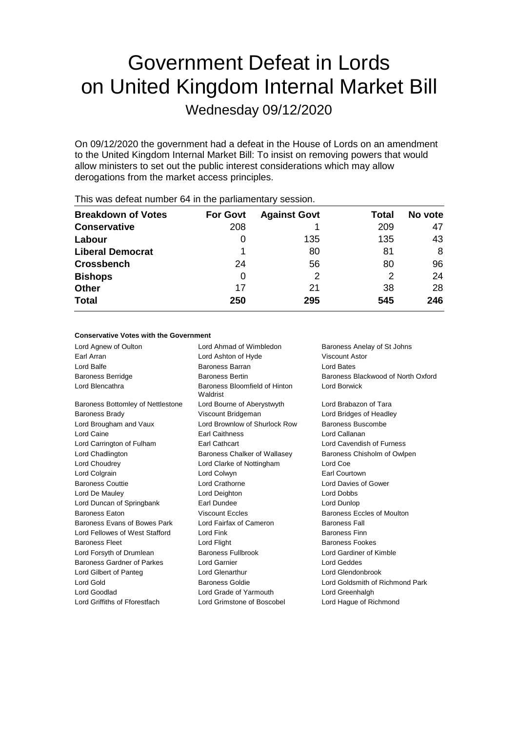# Government Defeat in Lords on United Kingdom Internal Market Bill

Wednesday 09/12/2020

On 09/12/2020 the government had a defeat in the House of Lords on an amendment to the United Kingdom Internal Market Bill: To insist on removing powers that would allow ministers to set out the public interest considerations which may allow derogations from the market access principles.

| <b>Breakdown of Votes</b> | <b>For Govt</b> | <b>Against Govt</b> | Total | No vote |
|---------------------------|-----------------|---------------------|-------|---------|
| <b>Conservative</b>       | 208             |                     | 209   | 47      |
| Labour                    | 0               | 135                 | 135   | 43      |
| <b>Liberal Democrat</b>   |                 | 80                  | 81    | 8       |
| <b>Crossbench</b>         | 24              | 56                  | 80    | 96      |
| <b>Bishops</b>            | 0               | 2                   | 2     | 24      |
| <b>Other</b>              | 17              | 21                  | 38    | 28      |
| <b>Total</b>              | 250             | 295                 | 545   | 246     |
|                           |                 |                     |       |         |

This was defeat number 64 in the parliamentary session.

## **Conservative Votes with the Government**

| Lord Agnew of Oulton              | Lord Ahmad of Wimbledon                   | Baroness Anelay of St Johns        |
|-----------------------------------|-------------------------------------------|------------------------------------|
| Earl Arran                        | Lord Ashton of Hyde                       | <b>Viscount Astor</b>              |
| Lord Balfe                        | Baroness Barran                           | Lord Bates                         |
| <b>Baroness Berridge</b>          | <b>Baroness Bertin</b>                    | Baroness Blackwood of North Oxford |
| Lord Blencathra                   | Baroness Bloomfield of Hinton<br>Waldrist | Lord Borwick                       |
| Baroness Bottomley of Nettlestone | Lord Bourne of Aberystwyth                | Lord Brabazon of Tara              |
| <b>Baroness Brady</b>             | Viscount Bridgeman                        | Lord Bridges of Headley            |
| Lord Brougham and Vaux            | Lord Brownlow of Shurlock Row             | Baroness Buscombe                  |
| Lord Caine                        | <b>Earl Caithness</b>                     | Lord Callanan                      |
| Lord Carrington of Fulham         | <b>Earl Cathcart</b>                      | Lord Cavendish of Furness          |
| Lord Chadlington                  | Baroness Chalker of Wallasey              | Baroness Chisholm of Owlpen        |
| Lord Choudrey                     | Lord Clarke of Nottingham                 | Lord Coe                           |
| Lord Colgrain                     | Lord Colwyn                               | Earl Courtown                      |
| <b>Baroness Couttie</b>           | Lord Crathorne                            | Lord Davies of Gower               |
| Lord De Mauley                    | Lord Deighton                             | <b>Lord Dobbs</b>                  |
| Lord Duncan of Springbank         | Earl Dundee                               | Lord Dunlop                        |
| <b>Baroness Faton</b>             | Viscount Eccles                           | Baroness Eccles of Moulton         |
| Baroness Evans of Bowes Park      | Lord Fairfax of Cameron                   | <b>Baroness Fall</b>               |
| Lord Fellowes of West Stafford    | Lord Fink                                 | <b>Baroness Finn</b>               |
| <b>Baroness Fleet</b>             | Lord Flight                               | <b>Baroness Fookes</b>             |
| Lord Forsyth of Drumlean          | Baroness Fullbrook                        | Lord Gardiner of Kimble            |
| Baroness Gardner of Parkes        | Lord Garnier                              | Lord Geddes                        |
| Lord Gilbert of Panteg            | <b>Lord Glenarthur</b>                    | Lord Glendonbrook                  |
| Lord Gold                         | <b>Baroness Goldie</b>                    | Lord Goldsmith of Richmond Park    |
| Lord Goodlad                      | Lord Grade of Yarmouth                    | Lord Greenhalgh                    |
| Lord Griffiths of Fforestfach     | Lord Grimstone of Boscobel                | Lord Hague of Richmond             |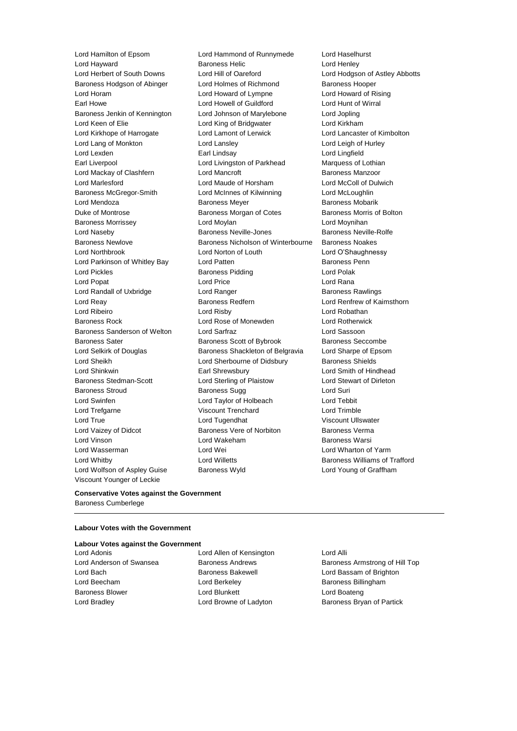Viscount Younger of Leckie

Lord Hamilton of Epsom Lord Hammond of Runnymede Lord Haselhurst **Lord Hayward Community Community Baroness Helic Community Community Community Community Community Community Community** Lord Herbert of South Downs Lord Hill of Oareford Lord Hodgson of Astley Abbotts Baroness Hodgson of Abinger Lord Holmes of Richmond Baroness Hooper Lord Horam Lord Howard of Lympne Lord Howard of Rising Earl Howe **Lord Howell of Guildford Lord Hunt of Wirral** Baroness Jenkin of Kennington Lord Johnson of Marylebone Lord Jopling Lord Keen of Elie Lord King of Bridgwater Lord Kirkham Lord Kirkhope of Harrogate Lord Lamont of Lerwick Lord Lancaster of Kimbolton Lord Lang of Monkton Lord Lansley Lord Leigh of Hurley Lord Lexden Earl Lindsay Lord Lingfield Earl Liverpool Lord Livingston of Parkhead Marquess of Lothian Lord Mackay of Clashfern **Lord Mancroft Baroness Manzoor** Baroness Manzoor Lord Marlesford Lord Maude of Horsham Lord McColl of Dulwich Baroness McGregor-Smith Lord McInnes of Kilwinning Lord McLoughlin Lord Mendoza Baroness Meyer Baroness Mobarik Duke of Montrose Baroness Morgan of Cotes Baroness Morris of Bolton Baroness Morrissey **Lord Moylan** Lord Moynihan Lord Moynihan Lord Naseby Baroness Neville-Jones Baroness Neville-Rolfe Baroness Newlove Baroness Nicholson of Winterbourne Baroness Noakes Lord Northbrook Lord Norton of Louth Lord O'Shaughnessy Lord Parkinson of Whitley Bay **Lord Patten Baroness Penn** Lord Pickles Baroness Pidding Lord Polak Lord Popat **Lord Price Lord Price Lord Rana** Lord Randall of Uxbridge Lord Ranger Lord Ranger Baroness Rawlings Lord Reay **Baroness Redfern Baroness Redfern Lord Renfrew of Kaimsthorn** Lord Ribeiro Lord Risby Lord Robathan Baroness Rock Lord Rose of Monewden Lord Rotherwick Baroness Sanderson of Welton Lord Sarfraz Lord Sassoon Baroness Sater **Baroness Scott of Bybrook** Baroness Seccombe Lord Selkirk of Douglas Baroness Shackleton of Belgravia Lord Sharpe of Epsom Lord Sheikh Lord Sherbourne of Didsbury Baroness Shields Lord Shinkwin Earl Shrewsbury Lord Smith of Hindhead Baroness Stedman-Scott Lord Sterling of Plaistow Lord Stewart of Dirleton Baroness Stroud **Baroness Sugg Contact Surism** Baroness Sugg Lord Suri Lord Swinfen Lord Taylor of Holbeach Lord Tebbit Lord Trefgarne Viscount Trenchard Lord Trimble Lord True **Lord Tugendhat** Viscount Ullswater Lord Vaizey of Didcot **Baroness Vere of Norbiton** Baroness Verma Lord Vinson Lord Wakeham Baroness Warsi Lord Wasserman Lord Wei Lord Wharton of Yarm Lord Whitby **Lord Willetts Baroness Williams of Trafford Lord Willetts Baroness Williams of Trafford** Lord Wolfson of Aspley Guise Baroness Wyld Lord Young of Graffham

## **Conservative Votes against the Government** Baroness Cumberlege

## **Labour Votes with the Government**

**Labour Votes against the Government** Lord Adonis Lord Allen of Kensington Lord Alli Lord Bach Baroness Bakewell Lord Bassam of Brighton Lord Beecham **Lord Berkeley Baroness Billingham** Baroness Blower **Lord Blunkett** Lord Boateng Lord Boateng Lord Bradley **Lord Browne of Ladyton** Baroness Bryan of Partick

Lord Anderson of Swansea Baroness Andrews Baroness Armstrong of Hill Top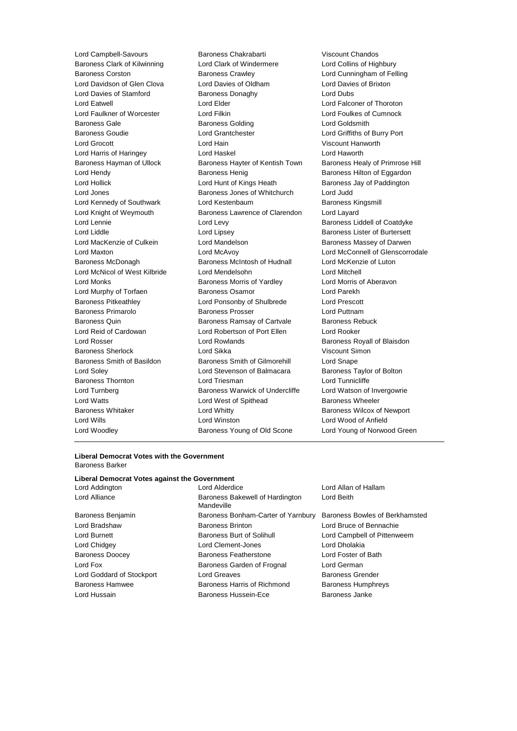Lord Campbell-Savours Baroness Chakrabarti Viscount Chandos Baroness Clark of Kilwinning Lord Clark of Windermere Lord Collins of Highbury Baroness Corston Baroness Crawley Lord Cunningham of Felling Lord Davidson of Glen Clova Lord Davies of Oldham Lord Davies of Brixton Lord Davies of Stamford **Baroness Donaghy Baroness Donaghy** Lord Dubs Lord Eatwell Lord Elder Lord Falconer of Thoroton Lord Faulkner of Worcester Lord Filkin Lord Foulkes of Cumnock Baroness Gale **Baroness Golding Baroness Golding Lord Goldsmith** Baroness Goudie Lord Grantchester Lord Griffiths of Burry Port Lord Grocott Lord Hain Viscount Hanworth Lord Harris of Haringey Lord Haskel Lord Haworth Baroness Hayman of Ullock Baroness Hayter of Kentish Town Baroness Healy of Primrose Hill Lord Hendy **Baroness Henig** Baroness Henig Baroness Hilton of Eggardon Lord Hollick **Lord Hunt of Kings Heath** Baroness Jay of Paddington Lord Jones **Baroness Jones of Whitchurch** Lord Judd Lord Kennedy of Southwark Lord Kestenbaum Baroness Kingsmill Lord Knight of Weymouth Baroness Lawrence of Clarendon Lord Layard Lord Lennie **Lord Levy Coats** Baroness Liddell of Coatdyke Lord Liddle **Lord Lipsey** Lord Lipsey **Baroness Lister of Burtersett** Lord MacKenzie of Culkein **Lord Mandelson** Baroness Massey of Darwen Lord Maxton Lord McAvoy Lord McConnell of Glenscorrodale Baroness McDonagh Baroness McIntosh of Hudnall Lord McKenzie of Luton Lord McNicol of West Kilbride Lord Mendelsohn Lord Mitchell Lord Monks **Baroness Morris of Yardley** Lord Morris of Aberavon Lord Murphy of Torfaen Baroness Osamor Lord Parekh Baroness Pitkeathley Lord Ponsonby of Shulbrede Lord Prescott Baroness Primarolo **Baroness Prosser Baroness Prosser** Lord Puttnam Baroness Quin **Baroness Ramsay of Cartvale** Baroness Rebuck Lord Reid of Cardowan Lord Robertson of Port Ellen Lord Rooker Lord Rosser Lord Rowlands Baroness Royall of Blaisdon Baroness Sherlock Lord Sikka Viscount Simon Baroness Smith of Basildon Baroness Smith of Gilmorehill Lord Snape Lord Soley Lord Stevenson of Balmacara Baroness Taylor of Bolton Baroness Thornton **Lord Triesman** Lord Tunnicliffe Lord Turnberg **Baroness Warwick of Undercliffe** Lord Watson of Invergowrie Lord Watts **Lord West of Spithead** Baroness Wheeler Baroness Whitaker **Lord Whitty Lord Whitty Baroness Wilcox of Newport** Lord Wills Lord Winston Lord Wood of Anfield Lord Woodley Baroness Young of Old Scone Lord Young of Norwood Green

## **Liberal Democrat Votes with the Government** Baroness Barker

## **Liberal Democrat Votes against the Government**

| Lord Addington            | Lord Allan of Hallam<br>Lord Alderdice                   |                                |  |
|---------------------------|----------------------------------------------------------|--------------------------------|--|
| Lord Alliance             | Baroness Bakewell of Hardington<br>Mandeville            | Lord Beith                     |  |
| Baroness Benjamin         | Baroness Bonham-Carter of Yarnbury                       | Baroness Bowles of Berkhamsted |  |
| Lord Bradshaw             | <b>Baroness Brinton</b><br>Lord Bruce of Bennachie       |                                |  |
| Lord Burnett              | Baroness Burt of Solihull                                | Lord Campbell of Pittenweem    |  |
| Lord Chidgey              | Lord Clement-Jones                                       | Lord Dholakia                  |  |
| <b>Baroness Doocey</b>    | Baroness Featherstone                                    | Lord Foster of Bath            |  |
| Lord Fox                  | Baroness Garden of Frognal                               | Lord German                    |  |
| Lord Goddard of Stockport | Lord Greaves                                             | <b>Baroness Grender</b>        |  |
| <b>Baroness Hamwee</b>    | Baroness Harris of Richmond<br><b>Baroness Humphreys</b> |                                |  |
| Lord Hussain              | Baroness Hussein-Ece                                     | <b>Baroness Janke</b>          |  |
|                           |                                                          |                                |  |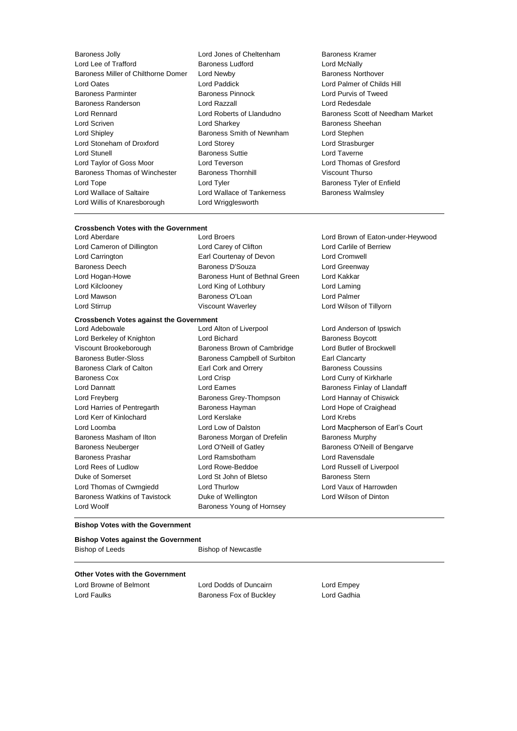- Baroness Jolly **Communist Control Controls Controls Controls Controls Controls Controls Controls Controls Control**<br>
Baroness Ludford **Baroness Ludford** Lord McNally Lord Lee of Trafford Baroness Miller of Chilthorne Domer Lord Newby **Baroness Northover** Baroness Northover Lord Oates Lord Paddick Lord Palmer of Childs Hill Baroness Parminter Baroness Pinnock Lord Purvis of Tweed Baroness Randerson Lord Razzall Lord Redesdale Lord Scriven Lord Sharkey Baroness Sheehan Lord Shipley **Baroness Smith of Newnham** Lord Stephen Lord Stoneham of Droxford Lord Storey Lord Strasburger Lord Stunell **Baroness Suttie Lord Taverne** Lord Taylor of Goss Moor Lord Teverson Lord Thomas of Gresford Baroness Thomas of Winchester Baroness Thornhill Viscount Thurso Lord Tope **Lord Tyler Lord Tyler Baroness Tyler of Enfield** Lord Wallace of Saltaire **Lord Wallace of Tankerness** Baroness Walmsley Lord Willis of Knaresborough Lord Wrigglesworth
	-
	- Lord Roberts of Llandudno Baroness Scott of Needham Market

## **Crossbench Votes with the Government**

Lord Cameron of Dillington Lord Carey of Clifton Lord Carlile of Berriew Lord Carrington Earl Courtenay of Devon Lord Cromwell Baroness Deech Baroness D'Souza Lord Greenway Lord Hogan-Howe **Baroness Hunt of Bethnal Green** Lord Kakkar Lord Kilclooney Lord King of Lothbury Lord Laming Lord Mawson Baroness O'Loan Lord Palmer

Lord Berkeley of Knighton **Lord Bichard Baroness Boycott** Viscount Brookeborough Baroness Brown of Cambridge Lord Butler of Brockwell Baroness Butler-Sloss Baroness Campbell of Surbiton Earl Clancarty Baroness Clark of Calton **Earl Cork and Orrery** Baroness Coussins Baroness Cox Lord Crisp Lord Curry of Kirkharle Lord Dannatt **Lord Eames** Lord Eames **Baroness Finlay of Llandaff** Lord Freyberg Baroness Grey-Thompson Lord Hannay of Chiswick Lord Harries of Pentregarth Baroness Hayman Lord Hope of Craighead Lord Kerr of Kinlochard Lord Kerslake Lord Krebs Lord Loomba Lord Low of Dalston Lord Macpherson of Earl's Court Baroness Masham of Ilton **Baroness Morgan of Drefelin** Baroness Murphy Baroness Neuberger Lord O'Neill of Gatley Baroness O'Neill of Bengarve Baroness Prashar Lord Ramsbotham Lord Ravensdale Lord Rees of Ludlow **Lord Rowe-Beddoe** Lord Russell of Liverpool Duke of Somerset **Lord St John of Bletso** Baroness Stern Lord Thomas of Cwmgiedd Lord Thurlow Lord Vaux of Harrowden Baroness Watkins of Tavistock Duke of Wellington Lord Wilson of Dinton Lord Woolf **Baroness Young of Hornsey** 

**Crossbench Votes against the Government** Lord Adebowale Lord Alton of Liverpool Lord Anderson of Ipswich

Lord Brown of Eaton-under-Heywood Lord Stirrup **Viscount Waverley Lord Wilson of Tillyorn** 

## **Bishop Votes with the Government**

### **Bishop Votes against the Government**

Bishop of Leeds Bishop of Newcastle

## **Other Votes with the Government**

Lord Browne of Belmont Lord Dodds of Duncairn Lord Empey Lord Faulks **Baroness Fox of Buckley** Lord Gadhia